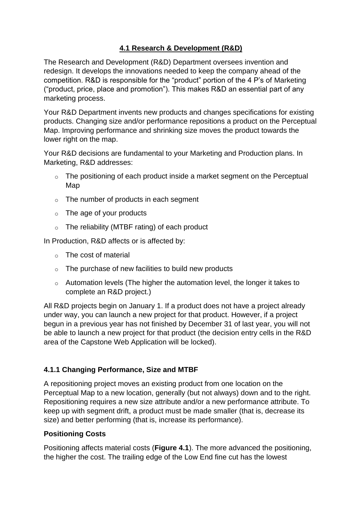# **4.1 Research & Development (R&D)**

The Research and Development (R&D) Department oversees invention and redesign. It develops the innovations needed to keep the company ahead of the competition. R&D is responsible for the "product" portion of the 4 P's of Marketing ("product, price, place and promotion"). This makes R&D an essential part of any marketing process.

Your R&D Department invents new products and changes specifications for existing products. Changing size and/or performance repositions a product on the Perceptual Map. Improving performance and shrinking size moves the product towards the lower right on the map.

Your R&D decisions are fundamental to your Marketing and Production plans. In Marketing, R&D addresses:

- o The positioning of each product inside a market segment on the Perceptual Map
- o The number of products in each segment
- $\circ$  The age of your products
- o The reliability (MTBF rating) of each product

In Production, R&D affects or is affected by:

- o The cost of material
- $\circ$  The purchase of new facilities to build new products
- o Automation levels (The higher the automation level, the longer it takes to complete an R&D project.)

All R&D projects begin on January 1. If a product does not have a project already under way, you can launch a new project for that product. However, if a project begun in a previous year has not finished by December 31 of last year, you will not be able to launch a new project for that product (the decision entry cells in the R&D area of the Capstone Web Application will be locked).

# **4.1.1 Changing Performance, Size and MTBF**

A repositioning project moves an existing product from one location on the Perceptual Map to a new location, generally (but not always) down and to the right. Repositioning requires a new size attribute and/or a new performance attribute. To keep up with segment drift, a product must be made smaller (that is, decrease its size) and better performing (that is, increase its performance).

# **Positioning Costs**

Positioning affects material costs (**Figure 4.1**). The more advanced the positioning, the higher the cost. The trailing edge of the Low End fine cut has the lowest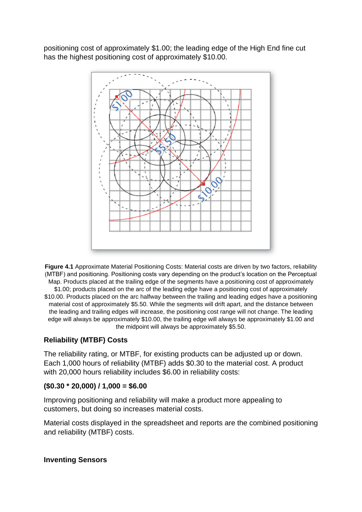positioning cost of approximately \$1.00; the leading edge of the High End fine cut has the highest positioning cost of approximately \$10.00.



**Figure 4.1** Approximate Material Positioning Costs: Material costs are driven by two factors, reliability (MTBF) and positioning. Positioning costs vary depending on the product's location on the Perceptual Map. Products placed at the trailing edge of the segments have a positioning cost of approximately \$1.00; products placed on the arc of the leading edge have a positioning cost of approximately \$10.00. Products placed on the arc halfway between the trailing and leading edges have a positioning material cost of approximately \$5.50. While the segments will drift apart, and the distance between the leading and trailing edges will increase, the positioning cost range will not change. The leading edge will always be approximately \$10.00, the trailing edge will always be approximately \$1.00 and the midpoint will always be approximately \$5.50.

### **Reliability (MTBF) Costs**

The reliability rating, or MTBF, for existing products can be adjusted up or down. Each 1,000 hours of reliability (MTBF) adds \$0.30 to the material cost. A product with 20,000 hours reliability includes \$6.00 in reliability costs:

### **(\$0.30 \* 20,000) / 1,000 = \$6.00**

Improving positioning and reliability will make a product more appealing to customers, but doing so increases material costs.

Material costs displayed in the spreadsheet and reports are the combined positioning and reliability (MTBF) costs.

#### **Inventing Sensors**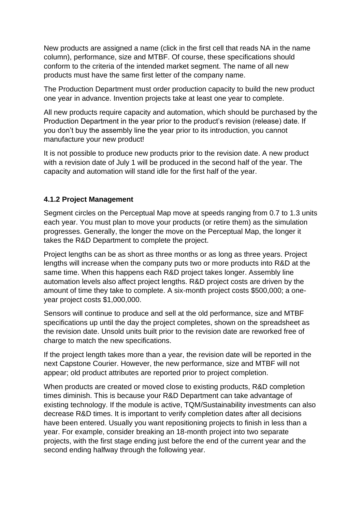New products are assigned a name (click in the first cell that reads NA in the name column), performance, size and MTBF. Of course, these specifications should conform to the criteria of the intended market segment. The name of all new products must have the same first letter of the company name.

The Production Department must order production capacity to build the new product one year in advance. Invention projects take at least one year to complete.

All new products require capacity and automation, which should be purchased by the Production Department in the year prior to the product's revision (release) date. If you don't buy the assembly line the year prior to its introduction, you cannot manufacture your new product!

It is not possible to produce new products prior to the revision date. A new product with a revision date of July 1 will be produced in the second half of the year. The capacity and automation will stand idle for the first half of the year.

### **4.1.2 Project Management**

Segment circles on the Perceptual Map move at speeds ranging from 0.7 to 1.3 units each year. You must plan to move your products (or retire them) as the simulation progresses. Generally, the longer the move on the Perceptual Map, the longer it takes the R&D Department to complete the project.

Project lengths can be as short as three months or as long as three years. Project lengths will increase when the company puts two or more products into R&D at the same time. When this happens each R&D project takes longer. Assembly line automation levels also affect project lengths. R&D project costs are driven by the amount of time they take to complete. A six-month project costs \$500,000; a oneyear project costs \$1,000,000.

Sensors will continue to produce and sell at the old performance, size and MTBF specifications up until the day the project completes, shown on the spreadsheet as the revision date. Unsold units built prior to the revision date are reworked free of charge to match the new specifications.

If the project length takes more than a year, the revision date will be reported in the next Capstone Courier. However, the new performance, size and MTBF will not appear; old product attributes are reported prior to project completion.

When products are created or moved close to existing products, R&D completion times diminish. This is because your R&D Department can take advantage of existing technology. If the module is active, TQM/Sustainability investments can also decrease R&D times. It is important to verify completion dates after all decisions have been entered. Usually you want repositioning projects to finish in less than a year. For example, consider breaking an 18-month project into two separate projects, with the first stage ending just before the end of the current year and the second ending halfway through the following year.